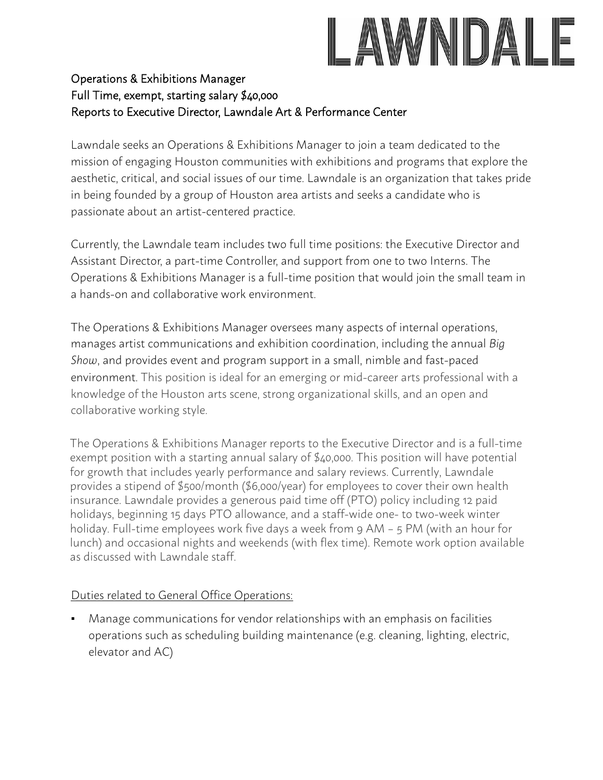# LAWNDAI

# Operations & Exhibitions Manager Full Time, exempt, starting salary \$40,000 Reports to Executive Director, Lawndale Art & Performance Center

Lawndale seeks an Operations & Exhibitions Manager to join a team dedicated to the mission of engaging Houston communities with exhibitions and programs that explore the aesthetic, critical, and social issues of our time. Lawndale is an organization that takes pride in being founded by a group of Houston area artists and seeks a candidate who is passionate about an artist-centered practice.

Currently, the Lawndale team includes two full time positions: the Executive Director and Assistant Director, a part-time Controller, and support from one to two Interns. The Operations & Exhibitions Manager is a full-time position that would join the small team in a hands-on and collaborative work environment.

The Operations & Exhibitions Manager oversees many aspects of internal operations, manages artist communications and exhibition coordination, including the annual *Big Show*, and provides event and program support in a small, nimble and fast-paced environment. This position is ideal for an emerging or mid-career arts professional with a knowledge of the Houston arts scene, strong organizational skills, and an open and collaborative working style.

The Operations & Exhibitions Manager reports to the Executive Director and is a full-time exempt position with a starting annual salary of \$40,000. This position will have potential for growth that includes yearly performance and salary reviews. Currently, Lawndale provides a stipend of \$500/month (\$6,000/year) for employees to cover their own health insurance. Lawndale provides a generous paid time off (PTO) policy including 12 paid holidays, beginning 15 days PTO allowance, and a staff-wide one- to two-week winter holiday. Full-time employees work five days a week from 9 AM – 5 PM (with an hour for lunch) and occasional nights and weekends (with flex time). Remote work option available as discussed with Lawndale staff.

### Duties related to General Office Operations:

■ Manage communications for vendor relationships with an emphasis on facilities operations such as scheduling building maintenance (e.g. cleaning, lighting, electric, elevator and AC)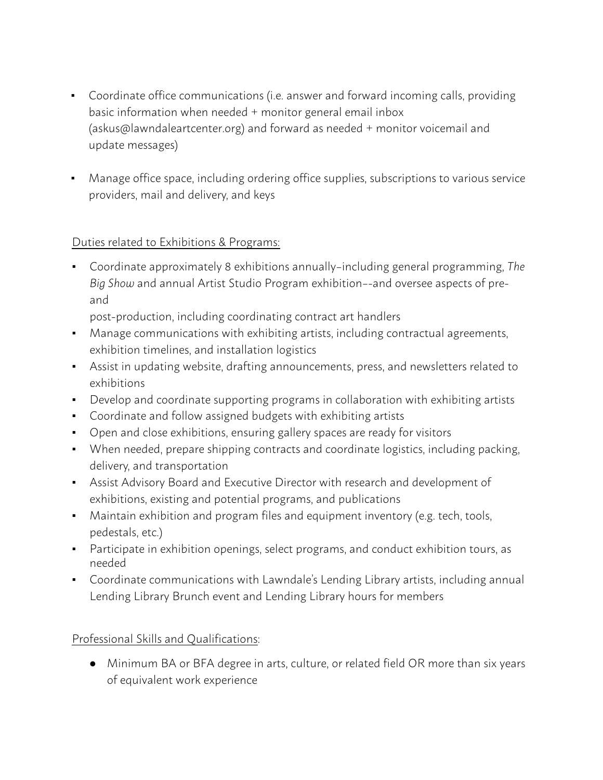- Coordinate office communications (i.e. answer and forward incoming calls, providing basic information when needed + monitor general email inbox (askus@lawndaleartcenter.org) and forward as needed + monitor voicemail and update messages)
- Manage office space, including ordering office supplies, subscriptions to various service providers, mail and delivery, and keys

# Duties related to Exhibitions & Programs:

▪ Coordinate approximately 8 exhibitions annually–including general programming, *The Big Show* and annual Artist Studio Program exhibition–-and oversee aspects of preand

post-production, including coordinating contract art handlers

- Manage communications with exhibiting artists, including contractual agreements, exhibition timelines, and installation logistics
- Assist in updating website, drafting announcements, press, and newsletters related to exhibitions
- Develop and coordinate supporting programs in collaboration with exhibiting artists
- Coordinate and follow assigned budgets with exhibiting artists
- Open and close exhibitions, ensuring gallery spaces are ready for visitors
- When needed, prepare shipping contracts and coordinate logistics, including packing, delivery, and transportation
- **EXE** Assist Advisory Board and Executive Director with research and development of exhibitions, existing and potential programs, and publications
- Maintain exhibition and program files and equipment inventory (e.g. tech, tools, pedestals, etc.)
- Participate in exhibition openings, select programs, and conduct exhibition tours, as needed
- Coordinate communications with Lawndale's Lending Library artists, including annual Lending Library Brunch event and Lending Library hours for members

### Professional Skills and Qualifications:

● Minimum BA or BFA degree in arts, culture, or related field OR more than six years of equivalent work experience